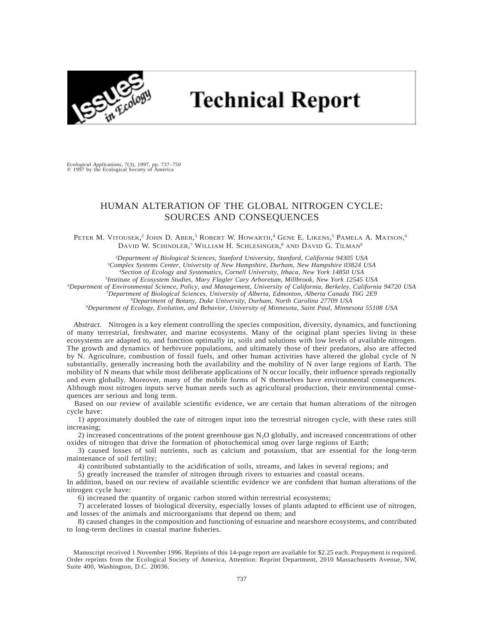

# **Technical Report**

*Ecological Applications,* 7(3), 1997, pp. 737–750 <sup>q</sup> 1997 by the Ecological Society of America

## HUMAN ALTERATION OF THE GLOBAL NITROGEN CYCLE: SOURCES AND CONSEQUENCES

Peter M. Vitousek,<sup>2</sup> John D. Aber,<sup>3</sup> Robert W. Howarth,<sup>4</sup> Gene E. Likens,<sup>5</sup> Pamela A. Matson,<sup>6</sup> DAVID W. SCHINDLER,<sup>7</sup> WILLIAM H. SCHLESINGER,<sup>8</sup> AND DAVID G. TILMAN<sup>9</sup>

> <sup>2</sup>*Department of Biological Sciences, Stanford University, Stanford, California 94305 USA* <sup>3</sup>*Complex Systems Center, University of New Hampshire, Durham, New Hampshire 03824 USA* <sup>4</sup>*Section of Ecology and Systematics, Cornell University, Ithaca, New York 14850 USA*

> <sup>5</sup>*Institute of Ecosystem Studies, Mary Flagler Cary Arboretum, Millbrook, New York 12545 USA*

<sup>6</sup>*Department of Environmental Science, Policy, and Management, University of California, Berkeley, California 94720 USA* <sup>7</sup>*Department of Biological Sciences, University of Alberta, Edmonton, Alberta Canada T6G 2E9*

<sup>8</sup>*Department of Botany, Duke University, Durham, North Carolina 27709 USA*

<sup>9</sup>*Department of Ecology, Evolution, and Behavior, University of Minnesota, Saint Paul, Minnesota 55108 USA*

*Abstract.* Nitrogen is a key element controlling the species composition, diversity, dynamics, and functioning of many terrestrial, freshwater, and marine ecosystems. Many of the original plant species living in these ecosystems are adapted to, and function optimally in, soils and solutions with low levels of available nitrogen. The growth and dynamics of herbivore populations, and ultimately those of their predators, also are affected by N. Agriculture, combustion of fossil fuels, and other human activities have altered the global cycle of N substantially, generally increasing both the availability and the mobility of N over large regions of Earth. The mobility of N means that while most deliberate applications of N occur locally, their influence spreads regionally and even globally. Moreover, many of the mobile forms of N themselves have environmental consequences. Although most nitrogen inputs serve human needs such as agricultural production, their environmental consequences are serious and long term.

Based on our review of available scientific evidence, we are certain that human alterations of the nitrogen cycle have:

1) approximately doubled the rate of nitrogen input into the terrestrial nitrogen cycle, with these rates still increasing;

2) increased concentrations of the potent greenhouse gas  $N<sub>2</sub>O$  globally, and increased concentrations of other oxides of nitrogen that drive the formation of photochemical smog over large regions of Earth;

3) caused losses of soil nutrients, such as calcium and potassium, that are essential for the long-term maintenance of soil fertility;

4) contributed substantially to the acidification of soils, streams, and lakes in several regions; and

5) greatly increased the transfer of nitrogen through rivers to estuaries and coastal oceans.

In addition, based on our review of available scientific evidence we are confident that human alterations of the nitrogen cycle have:

6) increased the quantity of organic carbon stored within terrestrial ecosystems;

7) accelerated losses of biological diversity, especially losses of plants adapted to efficient use of nitrogen, and losses of the animals and microorganisms that depend on them; and

8) caused changes in the composition and functioning of estuarine and nearshore ecosystems, and contributed to long-term declines in coastal marine fisheries.

Manuscript received 1 November 1996. Reprints of this 14-page report are available for \$2.25 each. Prepayment is required. Order reprints from the Ecological Society of America, Attention: Reprint Department, 2010 Massachusetts Avenue, NW, Suite 400, Washington, D.C. 20036.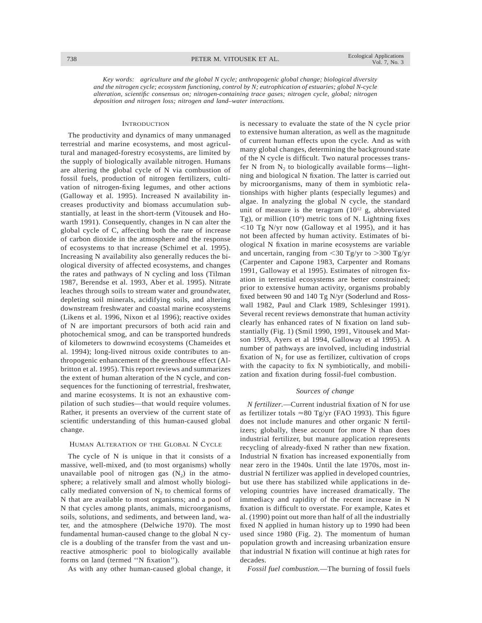Vol. 7, No. 3

*Key words: agriculture and the global N cycle; anthropogenic global change; biological diversity and the nitrogen cycle; ecosystem functioning, control by N; eutrophication of estuaries; global N-cycle alteration, scientific consensus on; nitrogen-containing trace gases; nitrogen cycle, global; nitrogen deposition and nitrogen loss; nitrogen and land–water interactions.*

#### **INTRODUCTION**

The productivity and dynamics of many unmanaged terrestrial and marine ecosystems, and most agricultural and managed-forestry ecosystems, are limited by the supply of biologically available nitrogen. Humans are altering the global cycle of N via combustion of fossil fuels, production of nitrogen fertilizers, cultivation of nitrogen-fixing legumes, and other actions (Galloway et al. 1995). Increased N availability increases productivity and biomass accumulation substantially, at least in the short-term (Vitousek and Howarth 1991). Consequently, changes in N can alter the global cycle of C, affecting both the rate of increase of carbon dioxide in the atmosphere and the response of ecosystems to that increase (Schimel et al. 1995). Increasing N availability also generally reduces the biological diversity of affected ecosystems, and changes the rates and pathways of N cycling and loss (Tilman 1987, Berendse et al. 1993, Aber et al. 1995). Nitrate leaches through soils to stream water and groundwater, depleting soil minerals, acidifying soils, and altering downstream freshwater and coastal marine ecosystems (Likens et al. 1996, Nixon et al 1996); reactive oxides of N are important precursors of both acid rain and photochemical smog, and can be transported hundreds of kilometers to downwind ecosystems (Chameides et al. 1994); long-lived nitrous oxide contributes to anthropogenic enhancement of the greenhouse effect (Albritton et al. 1995). This report reviews and summarizes the extent of human alteration of the N cycle, and consequences for the functioning of terrestrial, freshwater, and marine ecosystems. It is not an exhaustive compilation of such studies—that would require volumes. Rather, it presents an overview of the current state of scientific understanding of this human-caused global change.

#### HUMAN ALTERATION OF THE GLOBAL N CYCLE

The cycle of N is unique in that it consists of a massive, well-mixed, and (to most organisms) wholly unavailable pool of nitrogen gas  $(N_2)$  in the atmosphere; a relatively small and almost wholly biologically mediated conversion of  $N_2$  to chemical forms of N that are available to most organisms; and a pool of N that cycles among plants, animals, microorganisms, soils, solutions, and sediments, and between land, water, and the atmosphere (Delwiche 1970). The most fundamental human-caused change to the global N cycle is a doubling of the transfer from the vast and unreactive atmospheric pool to biologically available forms on land (termed ''N fixation'').

As with any other human-caused global change, it

is necessary to evaluate the state of the N cycle prior to extensive human alteration, as well as the magnitude of current human effects upon the cycle. And as with many global changes, determining the background state of the N cycle is difficult. Two natural processes transfer N from  $N_2$  to biologically available forms—lightning and biological N fixation. The latter is carried out by microorganisms, many of them in symbiotic relationships with higher plants (especially legumes) and algae. In analyzing the global N cycle, the standard unit of measure is the teragram  $(10^{12} \text{ g}, \text{ abbreviated})$ Tg), or million (10<sup>6</sup>) metric tons of N. Lightning fixes  $\langle 10$  Tg N/yr now (Galloway et al 1995), and it has not been affected by human activity. Estimates of biological N fixation in marine ecosystems are variable and uncertain, ranging from  $\langle 30 \text{ Tg/yr to } \rangle 300 \text{ Tg/yr}$ (Carpenter and Capone 1983, Carpenter and Romans 1991, Galloway et al 1995). Estimates of nitrogen fixation in terrestial ecosystems are better constrained; prior to extensive human activity, organisms probably fixed between 90 and 140 Tg N/yr (Soderlund and Rosswall 1982, Paul and Clark 1989, Schlesinger 1991). Several recent reviews demonstrate that human activity clearly has enhanced rates of N fixation on land substantially (Fig. 1) (Smil 1990, 1991, Vitousek and Matson 1993, Ayers et al 1994, Galloway et al 1995). A number of pathways are involved, including industrial fixation of  $N<sub>2</sub>$  for use as fertilizer, cultivation of crops with the capacity to fix N symbiotically, and mobilization and fixation during fossil-fuel combustion.

#### *Sources of change*

*N fertilizer.*—Current industrial fixation of N for use as fertilizer totals  $\approx 80 \text{ Tg/yr}$  (FAO 1993). This figure does not include manures and other organic N fertilizers; globally, these account for more N than does industrial fertilizer, but manure application represents recycling of already-fixed N rather than new fixation. Industrial N fixation has increased exponentially from near zero in the 1940s. Until the late 1970s, most industrial N fertilizer was applied in developed countries, but use there has stabilized while applications in developing countries have increased dramatically. The immediacy and rapidity of the recent increase in N fixation is difficult to overstate. For example, Kates et al. (1990) point out more than half of all the industrially fixed N applied in human history up to 1990 had been used since 1980 (Fig. 2). The momentum of human population growth and increasing urbanization ensure that industrial N fixation will continue at high rates for decades.

*Fossil fuel combustion.*—The burning of fossil fuels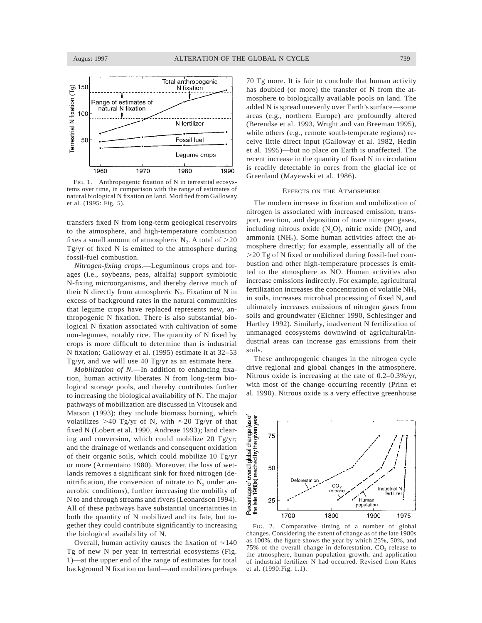

FIG. 1. Anthropogenic fixation of N in terrestrial ecosystems over time, in comparison with the range of estimates of natural biological N fixation on land. Modified from Galloway et al. (1995: Fig. 5).

transfers fixed N from long-term geological reservoirs to the atmosphere, and high-temperature combustion fixes a small amount of atmospheric N<sub>2</sub>. A total of  $>20$ Tg/yr of fixed N is emitted to the atmosphere during fossil-fuel combustion.

*Nitrogen-fixing crops.*—Leguminous crops and forages (i.e., soybeans, peas, alfalfa) support symbiotic N-fixing microorganisms, and thereby derive much of their N directly from atmospheric  $N<sub>2</sub>$ . Fixation of N in excess of background rates in the natural communities that legume crops have replaced represents new, anthropogenic N fixation. There is also substantial biological N fixation associated with cultivation of some non-legumes, notably rice. The quantity of N fixed by crops is more difficult to determine than is industrial N fixation; Galloway et al. (1995) estimate it at 32–53 Tg/yr, and we will use 40 Tg/yr as an estimate here.

*Mobilization of N.*—In addition to enhancing fixation, human activity liberates N from long-term biological storage pools, and thereby contributes further to increasing the biological availability of N. The major pathways of mobilization are discussed in Vitousek and Matson (1993); they include biomass burning, which volatilizes  $>40$  Tg/yr of N, with  $\approx 20$  Tg/yr of that fixed N (Lobert et al. 1990, Andreae 1993); land clearing and conversion, which could mobilize 20 Tg/yr; and the drainage of wetlands and consequent oxidation of their organic soils, which could mobilize 10 Tg/yr or more (Armentano 1980). Moreover, the loss of wetlands removes a significant sink for fixed nitrogen (denitrification, the conversion of nitrate to  $N_2$  under anaerobic conditions), further increasing the mobility of N to and through streams and rivers (Leonardson 1994). All of these pathways have substantial uncertainties in both the quantity of N mobilized and its fate, but together they could contribute significantly to increasing the biological availability of N.

Overall, human activity causes the fixation of  $\approx$  140 Tg of new N per year in terrestrial ecosystems (Fig. 1)—at the upper end of the range of estimates for total background N fixation on land—and mobilizes perhaps 70 Tg more. It is fair to conclude that human activity has doubled (or more) the transfer of N from the atmosphere to biologically available pools on land. The added N is spread unevenly over Earth's surface—some areas (e.g., northern Europe) are profoundly altered (Berendse et al. 1993, Wright and van Breeman 1995), while others (e.g., remote south-temperate regions) receive little direct input (Galloway et al. 1982, Hedin et al. 1995)—but no place on Earth is unaffected. The recent increase in the quantity of fixed N in circulation is readily detectable in cores from the glacial ice of Greenland (Mayewski et al. 1986).

#### EFFECTS ON THE ATMOSPHERE

The modern increase in fixation and mobilization of nitrogen is associated with increased emission, transport, reaction, and deposition of trace nitrogen gases, including nitrous oxide  $(N_2O)$ , nitric oxide (NO), and ammonia ( $NH<sub>3</sub>$ ). Some human activities affect the atmosphere directly; for example, essentially all of the .20 Tg of N fixed or mobilized during fossil-fuel combustion and other high-temperature processes is emitted to the atmosphere as NO. Human activities also increase emissions indirectly. For example, agricultural fertilization increases the concentration of volatile  $NH<sub>3</sub>$ in soils, increases microbial processing of fixed N, and ultimately increases emissions of nitrogen gases from soils and groundwater (Eichner 1990, Schlesinger and Hartley 1992). Similarly, inadvertent N fertilization of unmanaged ecosystems downwind of agricultural/industrial areas can increase gas emissions from their soils.

These anthropogenic changes in the nitrogen cycle drive regional and global changes in the atmosphere. Nitrous oxide is increasing at the rate of 0.2–0.3%/yr, with most of the change occurring recently (Prinn et al. 1990). Nitrous oxide is a very effective greenhouse



FIG. 2. Comparative timing of a number of global changes. Considering the extent of change as of the late 1980s as 100%, the figure shows the year by which 25%, 50%, and 75% of the overall change in deforestation,  $CO<sub>2</sub>$  release to the atmosphere, human population growth, and application of industrial fertilizer N had occurred. Revised from Kates et al. (1990:Fig. 1.1).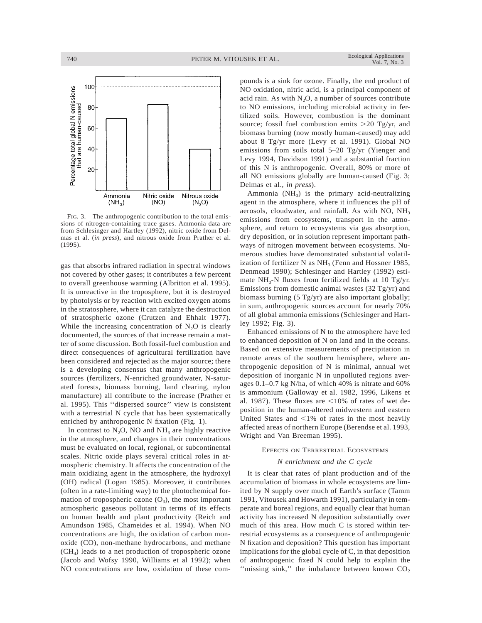

FIG. 3. The anthropogenic contribution to the total emissions of nitrogen-containing trace gases. Ammonia data are from Schlesinger and Hartley (1992), nitric oxide from Delmas et al. (*in press*), and nitrous oxide from Prather et al. (1995).

gas that absorbs infrared radiation in spectral windows not covered by other gases; it contributes a few percent to overall greenhouse warming (Albritton et al. 1995). It is unreactive in the troposphere, but it is destroyed by photolysis or by reaction with excited oxygen atoms in the stratosphere, where it can catalyze the destruction of stratospheric ozone (Crutzen and Ehhalt 1977). While the increasing concentration of  $N_2O$  is clearly documented, the sources of that increase remain a matter of some discussion. Both fossil-fuel combustion and direct consequences of agricultural fertilization have been considered and rejected as the major source; there is a developing consensus that many anthropogenic sources (fertilizers, N-enriched groundwater, N-saturated forests, biomass burning, land clearing, nylon manufacture) all contribute to the increase (Prather et al. 1995). This ''dispersed source'' view is consistent with a terrestrial N cycle that has been systematically enriched by anthropogenic N fixation (Fig. 1).

In contrast to  $N_2O$ , NO and NH<sub>3</sub> are highly reactive in the atmosphere, and changes in their concentrations must be evaluated on local, regional, or subcontinental scales. Nitric oxide plays several critical roles in atmospheric chemistry. It affects the concentration of the main oxidizing agent in the atmosphere, the hydroxyl (OH) radical (Logan 1985). Moreover, it contributes (often in a rate-limiting way) to the photochemical formation of tropospheric ozone  $(O_3)$ , the most important atmospheric gaseous pollutant in terms of its effects on human health and plant productivity (Reich and Amundson 1985, Chameides et al. 1994). When NO concentrations are high, the oxidation of carbon monoxide (CO), non-methane hydrocarbons, and methane  $(CH<sub>4</sub>)$  leads to a net production of tropospheric ozone (Jacob and Wofsy 1990, Williams et al 1992); when NO concentrations are low, oxidation of these com-

pounds is a sink for ozone. Finally, the end product of NO oxidation, nitric acid, is a principal component of acid rain. As with  $N_2O$ , a number of sources contribute to NO emissions, including microbial activity in fertilized soils. However, combustion is the dominant source; fossil fuel combustion emits  $>20$  Tg/yr, and biomass burning (now mostly human-caused) may add about 8 Tg/yr more (Levy et al. 1991). Global NO emissions from soils total 5–20 Tg/yr (Yienger and Levy 1994, Davidson 1991) and a substantial fraction of this N is anthropogenic. Overall, 80% or more of all NO emissions globally are human-caused (Fig. 3; Delmas et al., *in press*).

Ammonia ( $NH<sub>3</sub>$ ) is the primary acid-neutralizing agent in the atmosphere, where it influences the pH of aerosols, cloudwater, and rainfall. As with  $NO$ ,  $NH<sub>3</sub>$ emissions from ecosystems, transport in the atmosphere, and return to ecosystems via gas absorption, dry deposition, or in solution represent important pathways of nitrogen movement between ecosystems. Numerous studies have demonstrated substantial volatilization of fertilizer N as  $NH<sub>3</sub>$  (Fenn and Hossner 1985, Denmead 1990); Schlesinger and Hartley (1992) estimate  $NH<sub>3</sub>-N$  fluxes from fertilized fields at 10 Tg/yr. Emissions from domestic animal wastes  $(32 \text{ Tg/yr})$  and biomass burning (5 Tg/yr) are also important globally; in sum, anthropogenic sources account for nearly 70% of all global ammonia emissions (Schlesinger and Hartley 1992; Fig. 3).

Enhanced emissions of N to the atmosphere have led to enhanced deposition of N on land and in the oceans. Based on extensive measurements of precipitation in remote areas of the southern hemisphere, where anthropogenic deposition of N is minimal, annual wet deposition of inorganic N in unpolluted regions averages 0.1–0.7 kg N/ha, of which 40% is nitrate and 60% is ammonium (Galloway et al. 1982, 1996, Likens et al. 1987). These fluxes are  $\leq 10\%$  of rates of wet deposition in the human-altered midwestern and eastern United States and  $\leq 1\%$  of rates in the most heavily affected areas of northern Europe (Berendse et al. 1993, Wright and Van Breeman 1995).

#### EFFECTS ON TERRESTRIAL ECOSYSTEMS

## *N enrichment and the C cycle*

It is clear that rates of plant production and of the accumulation of biomass in whole ecosystems are limited by N supply over much of Earth's surface (Tamm 1991, Vitousek and Howarth 1991), particularly in temperate and boreal regions, and equally clear that human activity has increased N deposition substantially over much of this area. How much C is stored within terrestrial ecosystems as a consequence of anthropogenic N fixation and deposition? This question has important implications for the global cycle of C, in that deposition of anthropogenic fixed N could help to explain the "missing sink," the imbalance between known  $CO<sub>2</sub>$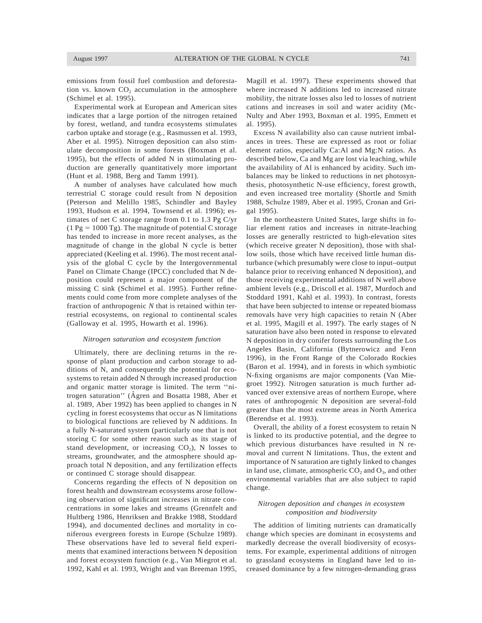emissions from fossil fuel combustion and deforestation vs. known  $CO<sub>2</sub>$  accumulation in the atmosphere (Schimel et al. 1995).

Experimental work at European and American sites indicates that a large portion of the nitrogen retained by forest, wetland, and tundra ecosystems stimulates carbon uptake and storage (e.g., Rasmussen et al. 1993, Aber et al. 1995). Nitrogen deposition can also stimulate decomposition in some forests (Boxman et al. 1995), but the effects of added N in stimulating production are generally quantitatively more important (Hunt et al. 1988, Berg and Tamm 1991).

A number of analyses have calculated how much terrestrial C storage could result from N deposition (Peterson and Melillo 1985, Schindler and Bayley 1993, Hudson et al. 1994, Townsend et al. 1996); estimates of net C storage range from 0.1 to 1.3 Pg C/yr  $(1$  Pg = 1000 Tg). The magnitude of potential C storage has tended to increase in more recent analyses, as the magnitude of change in the global N cycle is better appreciated (Keeling et al. 1996). The most recent analysis of the global C cycle by the Intergovernmental Panel on Climate Change (IPCC) concluded that N deposition could represent a major component of the missing C sink (Schimel et al. 1995). Further refinements could come from more complete analyses of the fraction of anthropogenic *N* that is retained within terrestrial ecosystems, on regional to continental scales (Galloway et al. 1995, Howarth et al. 1996).

#### *Nitrogen saturation and ecosystem function*

Ultimately, there are declining returns in the response of plant production and carbon storage to additions of N, and consequently the potential for ecosystems to retain added N through increased production and organic matter storage is limited. The term ''nitrogen saturation" (Agren and Bosatta 1988, Aber et al. 1989, Aber 1992) has been applied to changes in N cycling in forest ecosystems that occur as N limitations to biological functions are relieved by N additions. In a fully N-saturated system (particularly one that is not storing C for some other reason such as its stage of stand development, or increasing  $CO<sub>2</sub>$ ), N losses to streams, groundwater, and the atmosphere should approach total N deposition, and any fertilization effects or continued C storage should disappear.

Concerns regarding the effects of N deposition on forest health and downstream ecosystems arose following observation of significant increases in nitrate concentrations in some lakes and streams (Grennfelt and Hultberg 1986, Henriksen and Brakke 1988, Stoddard 1994), and documented declines and mortality in coniferous evergreen forests in Europe (Schulze 1989). These observations have led to several field experiments that examined interactions between N deposition and forest ecosystem function (e.g., Van Miegrot et al. 1992, Kahl et al. 1993, Wright and van Breeman 1995,

Magill et al. 1997). These experiments showed that where increased N additions led to increased nitrate mobility, the nitrate losses also led to losses of nutrient cations and increases in soil and water acidity (Mc-Nulty and Aber 1993, Boxman et al. 1995, Emmett et al. 1995).

Excess N availability also can cause nutrient imbalances in trees. These are expressed as root or foliar element ratios, especially Ca:Al and Mg:N ratios. As described below, Ca and Mg are lost via leaching, while the availability of Al is enhanced by acidity. Such imbalances may be linked to reductions in net photosynthesis, photosynthetic N-use efficiency, forest growth, and even increased tree mortality (Shortle and Smith 1988, Schulze 1989, Aber et al. 1995, Cronan and Grigal 1995).

In the northeastern United States, large shifts in foliar element ratios and increases in nitrate-leaching losses are generally restricted to high-elevation sites (which receive greater N deposition), those with shallow soils, those which have received little human disturbance (which presumably were close to input–output balance prior to receiving enhanced N deposition), and those receiving experimental additions of N well above ambient levels (e.g., Driscoll et al. 1987, Murdoch and Stoddard 1991, Kahl et al. 1993). In contrast, forests that have been subjected to intense or repeated biomass removals have very high capacities to retain N (Aber et al. 1995, Magill et al. 1997). The early stages of N saturation have also been noted in response to elevated N deposition in dry conifer forests surrounding the Los Angeles Basin, California (Bytnerowicz and Fenn 1996), in the Front Range of the Colorado Rockies (Baron et al. 1994), and in forests in which symbiotic N-fixing organisms are major components (Van Miegroet 1992). Nitrogen saturation is much further advanced over extensive areas of northern Europe, where rates of anthropogenic N deposition are several-fold greater than the most extreme areas in North America (Berendse et al. 1993).

Overall, the ability of a forest ecosystem to retain N is linked to its productive potential, and the degree to which previous disturbances have resulted in N removal and current N limitations. Thus, the extent and importance of N saturation are tightly linked to changes in land use, climate, atmospheric  $CO<sub>2</sub>$  and  $O<sub>3</sub>$ , and other environmental variables that are also subject to rapid change.

## *Nitrogen deposition and changes in ecosystem composition and biodiversity*

The addition of limiting nutrients can dramatically change which species are dominant in ecosystems and markedly decrease the overall biodiversity of ecosystems. For example, experimental additions of nitrogen to grassland ecosystems in England have led to increased dominance by a few nitrogen-demanding grass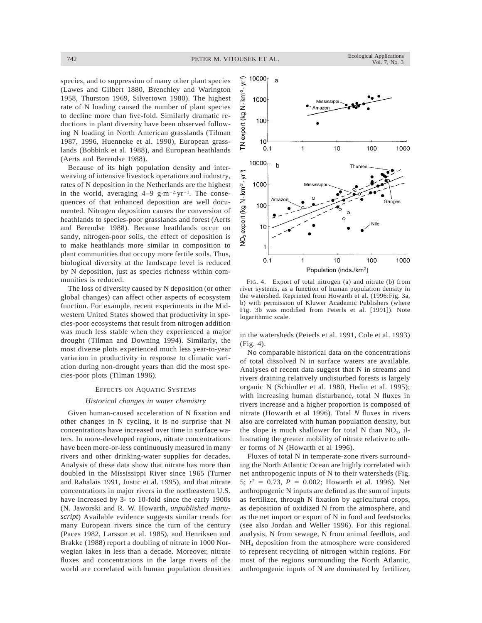species, and to suppression of many other plant species (Lawes and Gilbert 1880, Brenchley and Warington 1958, Thurston 1969, Silvertown 1980). The highest rate of N loading caused the number of plant species to decline more than five-fold. Similarly dramatic reductions in plant diversity have been observed following N loading in North American grasslands (Tilman 1987, 1996, Huenneke et al. 1990), European grasslands (Bobbink et al. 1988), and European heathlands (Aerts and Berendse 1988).

Because of its high population density and interweaving of intensive livestock operations and industry, rates of N deposition in the Netherlands are the highest in the world, averaging  $4-9$  g·m<sup>-2</sup>·yr<sup>-1</sup>. The consequences of that enhanced deposition are well documented. Nitrogen deposition causes the conversion of heathlands to species-poor grasslands and forest (Aerts and Berendse 1988). Because heathlands occur on sandy, nitrogen-poor soils, the effect of deposition is to make heathlands more similar in composition to plant communities that occupy more fertile soils. Thus, biological diversity at the landscape level is reduced by N deposition, just as species richness within communities is reduced.

The loss of diversity caused by N deposition (or other global changes) can affect other aspects of ecosystem function. For example, recent experiments in the Midwestern United States showed that productivity in species-poor ecosystems that result from nitrogen addition was much less stable when they experienced a major drought (Tilman and Downing 1994). Similarly, the most diverse plots experienced much less year-to-year variation in productivity in response to climatic variation during non-drought years than did the most species-poor plots (Tilman 1996).

#### EFFECTS ON AQUATIC SYSTEMS

## *Historical changes in water chemistry*

Given human-caused acceleration of N fixation and other changes in N cycling, it is no surprise that N concentrations have increased over time in surface waters. In more-developed regions, nitrate concentrations have been more-or-less continuously measured in many rivers and other drinking-water supplies for decades. Analysis of these data show that nitrate has more than doubled in the Mississippi River since 1965 (Turner and Rabalais 1991, Justic et al. 1995), and that nitrate concentrations in major rivers in the northeastern U.S. have increased by 3- to 10-fold since the early 1900s (N. Jaworski and R. W. Howarth, *unpublished manuscript*) Available evidence suggests similar trends for many European rivers since the turn of the century (Paces 1982, Larsson et al. 1985), and Henriksen and Brakke (1988) report a doubling of nitrate in 1000 Norwegian lakes in less than a decade. Moreover, nitrate fluxes and concentrations in the large rivers of the world are correlated with human population densities



FIG. 4. Export of total nitrogen (a) and nitrate (b) from river systems, as a function of human population density in the watershed. Reprinted from Howarth et al. (1996:Fig. 3a, b) with permission of Kluwer Academic Publishers (where Fig. 3b was modified from Peierls et al. [1991]). Note logarithmic scale.

in the watersheds (Peierls et al. 1991, Cole et al. 1993) (Fig. 4).

No comparable historical data on the concentrations of total dissolved N in surface waters are available. Analyses of recent data suggest that N in streams and rivers draining relatively undisturbed forests is largely organic N (Schindler et al. 1980, Hedin et al. 1995); with increasing human disturbance, total N fluxes in rivers increase and a higher proportion is composed of nitrate (Howarth et al 1996). Total *N* fluxes in rivers also are correlated with human population density, but the slope is much shallower for total N than  $NO<sub>3</sub>$ , illustrating the greater mobility of nitrate relative to other forms of N (Howarth et al 1996).

Fluxes of total N in temperate-zone rivers surrounding the North Atlantic Ocean are highly correlated with net anthropogenic inputs of N to their watersheds (Fig. 5;  $r^2 = 0.73$ ,  $P = 0.002$ ; Howarth et al. 1996). Net anthropogenic N inputs are defined as the sum of inputs as fertilizer, through N fixation by agricultural crops, as deposition of oxidized N from the atmosphere, and as the net import or export of N in food and feedstocks (see also Jordan and Weller 1996). For this regional analysis, N from sewage, N from animal feedlots, and NH4 deposition from the atmosphere were considered to represent recycling of nitrogen within regions. For most of the regions surrounding the North Atlantic, anthropogenic inputs of N are dominated by fertilizer,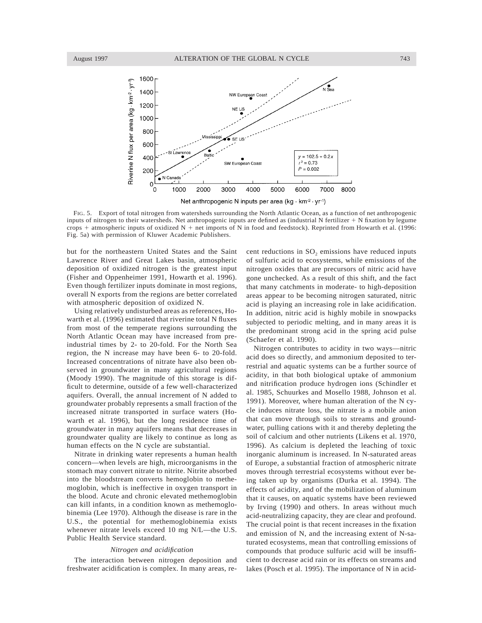

FIG. 5. Export of total nitrogen from watersheds surrounding the North Atlantic Ocean, as a function of net anthropogenic inputs of nitrogen to their watersheds. Net anthropogenic inputs are defined as (industrial N fertilizer  $+$  N fixation by legume crops  $+$  atmospheric inputs of oxidized N  $+$  net imports of N in food and feedstock). Reprinted from Howarth et al. (1996: Fig. 5a) with permission of Kluwer Academic Publishers.

but for the northeastern United States and the Saint Lawrence River and Great Lakes basin, atmospheric deposition of oxidized nitrogen is the greatest input (Fisher and Oppenheimer 1991, Howarth et al. 1996). Even though fertilizer inputs dominate in most regions, overall N exports from the regions are better correlated with atmospheric deposition of oxidized N.

Using relatively undisturbed areas as references, Howarth et al. (1996) estimated that riverine total N fluxes from most of the temperate regions surrounding the North Atlantic Ocean may have increased from preindustrial times by 2- to 20-fold. For the North Sea region, the N increase may have been 6- to 20-fold. Increased concentrations of nitrate have also been observed in groundwater in many agricultural regions (Moody 1990). The magnitude of this storage is difficult to determine, outside of a few well-characterized aquifers. Overall, the annual increment of N added to groundwater probably represents a small fraction of the increased nitrate transported in surface waters (Howarth et al. 1996), but the long residence time of groundwater in many aquifers means that decreases in groundwater quality are likely to continue as long as human effects on the N cycle are substantial.

Nitrate in drinking water represents a human health concern—when levels are high, microorganisms in the stomach may convert nitrate to nitrite. Nitrite absorbed into the bloodstream converts hemoglobin to methemoglobin, which is ineffective in oxygen transport in the blood. Acute and chronic elevated methemoglobin can kill infants, in a condition known as methemoglobinemia (Lee 1970). Although the disease is rare in the U.S., the potential for methemoglobinemia exists whenever nitrate levels exceed 10 mg N/L—the U.S. Public Health Service standard.

#### *Nitrogen and acidification*

The interaction between nitrogen deposition and freshwater acidification is complex. In many areas, recent reductions in  $SO_2$  emissions have reduced inputs of sulfuric acid to ecosystems, while emissions of the nitrogen oxides that are precursors of nitric acid have gone unchecked. As a result of this shift, and the fact that many catchments in moderate- to high-deposition areas appear to be becoming nitrogen saturated, nitric acid is playing an increasing role in lake acidification. In addition, nitric acid is highly mobile in snowpacks subjected to periodic melting, and in many areas it is the predominant strong acid in the spring acid pulse (Schaefer et al. 1990).

Nitrogen contributes to acidity in two ways—nitric acid does so directly, and ammonium deposited to terrestrial and aquatic systems can be a further source of acidity, in that both biological uptake of ammonium and nitrification produce hydrogen ions (Schindler et al. 1985, Schuurkes and Mosello 1988, Johnson et al. 1991). Moreover, where human alteration of the N cycle induces nitrate loss, the nitrate is a mobile anion that can move through soils to streams and groundwater, pulling cations with it and thereby depleting the soil of calcium and other nutrients (Likens et al. 1970, 1996). As calcium is depleted the leaching of toxic inorganic aluminum is increased. In N-saturated areas of Europe, a substantial fraction of atmospheric nitrate moves through terrestrial ecosystems without ever being taken up by organisms (Durka et al. 1994). The effects of acidity, and of the mobilization of aluminum that it causes, on aquatic systems have been reviewed by Irving (1990) and others. In areas without much acid-neutralizing capacity, they are clear and profound. The crucial point is that recent increases in the fixation and emission of N, and the increasing extent of N-saturated ecosystems, mean that controlling emissions of compounds that produce sulfuric acid will be insufficient to decrease acid rain or its effects on streams and lakes (Posch et al. 1995). The importance of N in acid-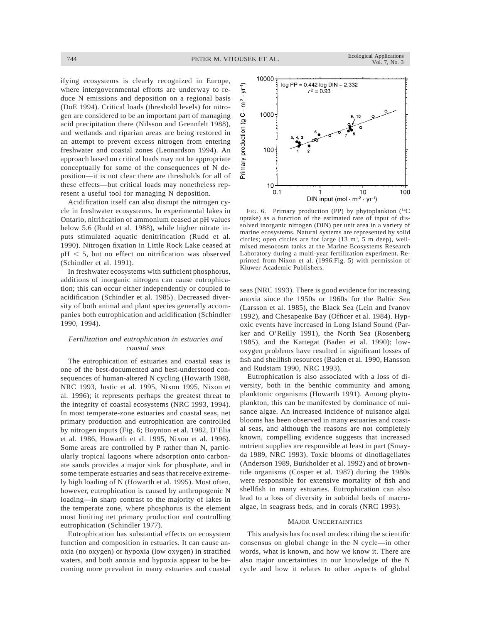ifying ecosystems is clearly recognized in Europe, where intergovernmental efforts are underway to reduce N emissions and deposition on a regional basis (DoE 1994). Critical loads (threshold levels) for nitrogen are considered to be an important part of managing acid precipitation there (Nilsson and Grennfelt 1988), and wetlands and riparian areas are being restored in an attempt to prevent excess nitrogen from entering freshwater and coastal zones (Leonardson 1994). An approach based on critical loads may not be appropriate conceptually for some of the consequences of N deposition—it is not clear there are thresholds for all of these effects—but critical loads may nonetheless represent a useful tool for managing N deposition.

Acidification itself can also disrupt the nitrogen cycle in freshwater ecosystems. In experimental lakes in Ontario, nitrification of ammonium ceased at pH values below 5.6 (Rudd et al. 1988), while higher nitrate inputs stimulated aquatic denitrification (Rudd et al. 1990). Nitrogen fixation in Little Rock Lake ceased at  $pH < 5$ , but no effect on nitrification was observed (Schindler et al. 1991).

In freshwater ecosystems with sufficient phosphorus, additions of inorganic nitrogen can cause eutrophication; this can occur either independently or coupled to acidification (Schindler et al. 1985). Decreased diversity of both animal and plant species generally accompanies both eutrophication and acidification (Schindler 1990, 1994).

## *Fertilization and eutrophication in estuaries and coastal seas*

The eutrophication of estuaries and coastal seas is one of the best-documented and best-understood consequences of human-altered N cycling (Howarth 1988, NRC 1993, Justic et al. 1995, Nixon 1995, Nixon et al. 1996); it represents perhaps the greatest threat to the integrity of coastal ecosystems (NRC 1993, 1994). In most temperate-zone estuaries and coastal seas, net primary production and eutrophication are controlled by nitrogen inputs (Fig. 6; Boynton et al. 1982, D'Elia et al. 1986, Howarth et al. 1995, Nixon et al. 1996). Some areas are controlled by P rather than N, particularly tropical lagoons where adsorption onto carbonate sands provides a major sink for phosphate, and in some temperate estuaries and seas that receive extremely high loading of N (Howarth et al. 1995). Most often, however, eutrophication is caused by anthropogenic N loading—in sharp contrast to the majority of lakes in the temperate zone, where phosphorus is the element most limiting net primary production and controlling eutrophication (Schindler 1977).

Eutrophication has substantial effects on ecosystem function and composition in estuaries. It can cause anoxia (no oxygen) or hypoxia (low oxygen) in stratified waters, and both anoxia and hypoxia appear to be becoming more prevalent in many estuaries and coastal



FIG. 6. Primary production (PP) by phytoplankton  $(^{14}C)$ uptake) as a function of the estimated rate of input of dissolved inorganic nitrogen (DIN) per unit area in a variety of marine ecosystems. Natural systems are represented by solid circles; open circles are for large  $(13 \text{ m}^3, 5 \text{ m}$  deep), wellmixed mesocosm tanks at the Marine Ecosystems Research Laboratory during a multi-year fertilization experiment. Reprinted from Nixon et al. (1996:Fig. 5) with permission of Kluwer Academic Publishers.

seas (NRC 1993). There is good evidence for increasing anoxia since the 1950s or 1960s for the Baltic Sea (Larsson et al. 1985), the Black Sea (Lein and Ivanov 1992), and Chesapeake Bay (Officer et al. 1984). Hypoxic events have increased in Long Island Sound (Parker and O'Reilly 1991), the North Sea (Rosenberg 1985), and the Kattegat (Baden et al. 1990); lowoxygen problems have resulted in significant losses of fish and shellfish resources (Baden et al. 1990, Hansson and Rudstam 1990, NRC 1993).

Eutrophication is also associated with a loss of diversity, both in the benthic community and among planktonic organisms (Howarth 1991). Among phytoplankton, this can be manifested by dominance of nuisance algae. An increased incidence of nuisance algal blooms has been observed in many estuaries and coastal seas, and although the reasons are not completely known, compelling evidence suggests that increased nutrient supplies are responsible at least in part (Smayda 1989, NRC 1993). Toxic blooms of dinoflagellates (Anderson 1989, Burkholder et al. 1992) and of browntide organisms (Cosper et al. 1987) during the 1980s were responsible for extensive mortality of fish and shellfish in many estuaries. Eutrophication can also lead to a loss of diversity in subtidal beds of macroalgae, in seagrass beds, and in corals (NRC 1993).

#### MAJOR UNCERTAINTIES

This analysis has focused on describing the scientific consensus on global change in the N cycle—in other words, what is known, and how we know it. There are also major uncertainties in our knowledge of the N cycle and how it relates to other aspects of global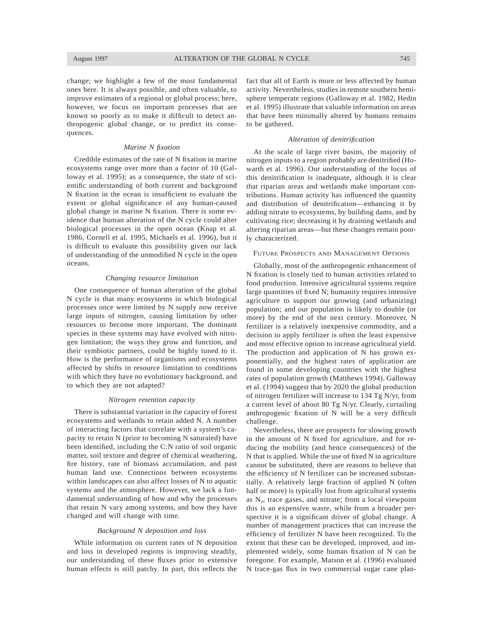change; we highlight a few of the most fundamental ones here. It is always possible, and often valuable, to improve estimates of a regional or global process; here, however, we focus on important processes that are known so poorly as to make it difficult to detect anthropogenic global change, or to predict its consequences.

## *Marine N fixation*

Credible estimates of the rate of N fixation in marine ecosystems range over more than a factor of 10 (Galloway et al. 1995); as a consequence, the state of scientific understanding of both current and background N fixation in the ocean is insufficient to evaluate the extent or global significance of any human-caused global change in marine N fixation. There is some evidence that human alteration of the N cycle could alter biological processes in the open ocean (Knap et al. 1986, Cornell et al. 1995, Michaels et al. 1996), but it is difficult to evaluate this possibility given our lack of understanding of the unmodified N cycle in the open oceans.

#### *Changing resource limitation*

One consequence of human alteration of the global N cycle is that many ecosystems in which biological processes once were limited by N supply now receive large inputs of nitrogen, causing limitation by other resources to become more important. The dominant species in these systems may have evolved with nitrogen limitation; the ways they grow and function, and their symbiotic partners, could be highly tuned to it. How is the performance of organisms and ecosystems affected by shifts in resource limitation to conditions with which they have no evolutionary background, and to which they are not adapted?

#### *Nitrogen retention capacity*

There is substantial variation in the capacity of forest ecosystems and wetlands to retain added N. A number of interacting factors that correlate with a system's capacity to retain N (prior to becoming N saturated) have been identified, including the C:N ratio of soil organic matter, soil texture and degree of chemical weathering, fire history, rate of biomass accumulation, and past human land use. Connections between ecosystems within landscapes can also affect losses of N to aquatic systems and the atmosphere. However, we lack a fundamental understanding of how and why the processes that retain N vary among systems, and how they have changed and will change with time.

#### *Background N deposition and loss*

While information on current rates of N deposition and loss in developed regions is improving steadily, our understanding of these fluxes prior to extensive human effects is still patchy. In part, this reflects the fact that all of Earth is more or less affected by human activity. Nevertheless, studies in remote southern hemisphere temperate regions (Galloway et al. 1982, Hedin et al. 1995) illustrate that valuable information on areas that have been minimally altered by humans remains to be gathered.

## *Alteration of denitrification*

At the scale of large river basins, the majority of nitrogen inputs to a region probably are denitrified (Howarth et al. 1996). Our understanding of the locus of this denitrification is inadequate, although it is clear that riparian areas and wetlands make important contributions. Human activity has influenced the quantity and distribution of denitrification—enhancing it by adding nitrate to ecosystems, by building dams, and by cultivating rice; decreasing it by draining wetlands and altering riparian areas—but these changes remain poorly characterized.

#### FUTURE PROSPECTS AND MANAGEMENT OPTIONS

Globally, most of the anthropogenic enhancement of N fixation is closely tied to human activities related to food production. Intensive agricultural systems require large quantities of fixed N; humanity requires intensive agriculture to support our growing (and urbanizing) population; and our population is likely to double (or more) by the end of the next century. Moreover, N fertilizer is a relatively inexpensive commodity, and a decision to apply fertilizer is often the least expensive and most effective option to increase agricultural yield. The production and application of N has grown exponentially, and the highest rates of application are found in some developing countries with the highest rates of population growth (Matthews 1994). Galloway et al. (1994) suggest that by 2020 the global production of nitrogen fertilizer will increase to 134 Tg N/yr, from a current level of about 80 Tg N/yr. Clearly, curtailing anthropogenic fixation of N will be a very difficult challenge.

Nevertheless, there are prospects for slowing growth in the amount of N fixed for agriculture, and for reducing the mobility (and hence consequences) of the N that is applied. While the use of fixed N in agriculture cannot be substituted, there are reasons to believe that the efficiency of N fertilizer can be increased substantially. A relatively large fraction of applied N (often half or more) is typically lost from agricultural systems as  $N<sub>2</sub>$ , trace gases, and nitrate; from a local viewpoint this is an expensive waste, while from a broader perspective it is a significant driver of global change. A number of management practices that can increase the efficiency of fertilizer N have been recognized. To the extent that these can be developed, improved, and implemented widely, some human fixation of N can be foregone. For example, Matson et al. (1996) evaluated N trace-gas flux in two commercial sugar cane plan-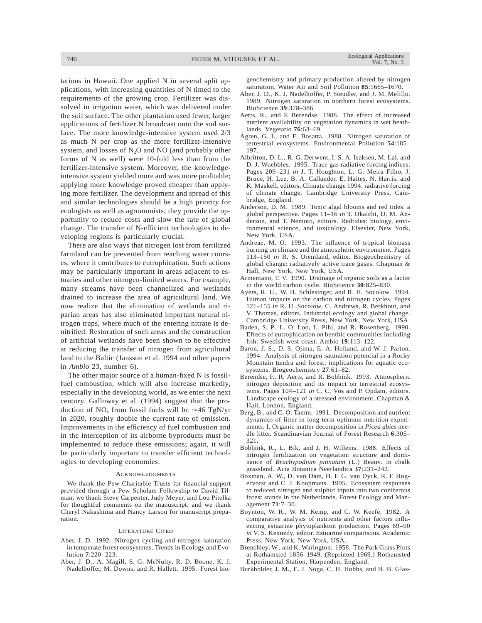tations in Hawaii. One applied N in several split applications, with increasing quantities of N timed to the requirements of the growing crop. Fertilizer was dissolved in irrigation water, which was delivered under the soil surface. The other plantation used fewer, larger applications of fertilizer N broadcast onto the soil surface. The more knowledge-intensive system used 2/3 as much N per crop as the more fertilizer-intensive system, and losses of  $N_2O$  and NO (and probably other forms of N as well) were 10-fold less than from the fertilizer-intensive system. Moreover, the knowledgeintensive system yielded more and was more profitable; applying more knowledge proved cheaper than applying more fertilizer. The development and spread of this and similar technologies should be a high priority for ecologists as well as agronomists; they provide the opportunity to reduce costs and slow the rate of global change. The transfer of N-efficient technologies to developing regions is particularly crucial.

There are also ways that nitrogen lost from fertilized farmland can be prevented from reaching water courses, where it contributes to eutrophication. Such actions may be particularly important in areas adjacent to estuaries and other nitrogen-limited waters. For example, many streams have been channelized and wetlands drained to increase the area of agricultural land. We now realize that the elimination of wetlands and riparian areas has also eliminated important natural nitrogen traps, where much of the entering nitrate is denitrified. Restoration of such areas and the construction of artificial wetlands have been shown to be effective at reducing the transfer of nitrogen from agricultural land to the Baltic (Jansson et al. 1994 and other papers in *Ambio* 23, number 6).

The other major source of a human-fixed N is fossilfuel combustion, which will also increase markedly, especially in the developing world, as we enter the next century. Galloway et al. (1994) suggest that the production of NO<sub>x</sub> from fossil fuels will be  $\approx$  46 TgN/yr in 2020, roughly double the current rate of emission. Improvements in the efficiency of fuel combustion and in the interception of its airborne byproducts must be implemented to reduce these emissions; again, it will be particularly important to transfer efficient technologies to developing economies.

#### **ACKNOWLEDGMENTS**

We thank the Pew Charitable Trusts for financial support provided through a Pew Scholars Fellowship to David Tilman; we thank Steve Carpenter, Judy Meyer, and Lou Pitelka for thoughtful comments on the manuscript; and we thank Cheryl Nakashima and Nancy Larson for manuscript preparation.

#### LITERATURE CITED

- Aber, J. D. 1992. Nitrogen cycling and nitrogen saturation in temperate forest ecosystems. Trends in Ecology and Evolution **7**:220–223.
- Aber, J. D., A. Magill, S. G. McNulty, R. D. Boone, K. J. Nadelhoffer, M. Downs, and R. Hallett. 1995. Forest bio-

geochemistry and primary production altered by nitrogen saturation. Water Air and Soil Pollution **85**:1665–1670.

- Aber, J. D., K. J. Nadelhoffer, P. Steudler, and J. M. Melillo. 1989. Nitrogen saturation in northern forest ecosystems. BioScience **39**:378–386.
- Aerts, R., and F. Berendse. 1988. The effect of increased nutrient availability on vegetation dynamics in wet heathlands. Vegetatio **76**:63–69.
- Agren, G. I., and E. Bosatta. 1988. Nitrogen saturation of terrestrial ecosystems. Environmental Pollution **54**:185– 197.
- Albritton, D. L., R. G. Derwent, I. S. A. Isaksen, M. Lal, and D. J. Wuebbles. 1995. Trace gas radiative forcing indices. Pages 209–231 *in* J. T. Houghton, L. G. Meira Filho, J. Bruce, H. Lee, B. A. Callander, E. Haites, N. Harris, and K. Maskell, editors. Climate change 1994: radiative forcing of climate change. Cambridge University Press, Cambridge, England.
- Anderson, D. M. 1989. Toxic algal blooms and red tides: a global perspective. Pages 11–16 *in* T. Okaichi, D. M. Anderson, and T. Nemoto, editors. Redtides: biology, environmental science, and toxicology. Elsevier, New York, New York, USA.
- Andreae, M. O. 1993. The influence of tropical biomass burning on climate and the atmospheric environment. Pages 113–150 *in* R. S. Oremland, editor. Biogeochemistry of global change: radiatively active trace gases. Chapman & Hall, New York, New York, USA.
- Armentano, T. V. 1990. Drainage of organic soils as a factor in the world carbon cycle. BioScience **30**:825–830.
- Ayers, R. U., W. H. Schlesinger, and R. H. Socolow. 1994. Human impacts on the carbon and nitrogen cycles. Pages 121–155 *in* R. H. Socolow, C. Andrews, R. Berkhout, and V. Thomas, editors. Industrial ecology and global change. Cambridge University Press, New York, New York, USA.
- Baden, S. P., L. O. Loo, L. Pihl, and R. Rosenberg. 1990. Effects of eutrophication on benthic communities including fish: Swedish west coast. Ambio **19**:113–122.
- Baron, J. S., D. S. Ojima, E. A. Holland, and W. J. Parton. 1994. Analysis of nitrogen saturation potential in a Rocky Mountain tundra and forest: implications for aquatic ecosystems. Biogeochemistry **27**:61–82.
- Berendse, F., R. Aerts, and R. Bobbink. 1993. Atmospheric nitrogen deposition and its impact on terrestrial ecosystems. Pages 104–121 *in* C. C. Vos and P. Opdam, editors. Landscape ecology of a stressed environment. Chapman & Hall, London, England.
- Berg, B., and C. O. Tamm. 1991. Decomposition and nutrient dynamics of litter in long-term optimum nutrition experiments. I. Organic matter decomposition in *Picea abies* needle litter. Scandinavian Journal of Forest Research **6**:305– 321.
- Bobbink, R., L. Bik, and J. H. Willems. 1988. Effects of nitrogen fertilization on vegetation structure and dominance of *Brachypodium pinnatum* (L.) Beauv. in chalk grassland. Acta Botanica Neerlandica **37**:231–242.
- Boxman, A. W., D. van Dam, H. F. G. van Dyck, R. F. Hogervorst and C. J. Koopmans. 1995. Ecosystem responses to reduced nitrogen and sulphur inputs into two coniferous forest stands in the Netherlands. Forest Ecology and Management **71**:7–30.
- Boynton, W. R., W. M. Kemp, and C. W. Keefe. 1982. A comparative analysis of nutrients and other factors influencing estuarine phytoplankton production. Pages 69–90 *in* V. S. Kennedy, editor. Estuarine comparisons. Academic Press, New York, New York, USA.
- Brenchley, W., and K. Warington. 1958. The Park Grass Plots at Rothamsted 1856–1949. (Reprinted 1969.) Rothamsted Experimental Station, Harpenden, England.
- Burkholder, J. M., E. J. Noga, C. H. Hobbs, and H. B. Glas-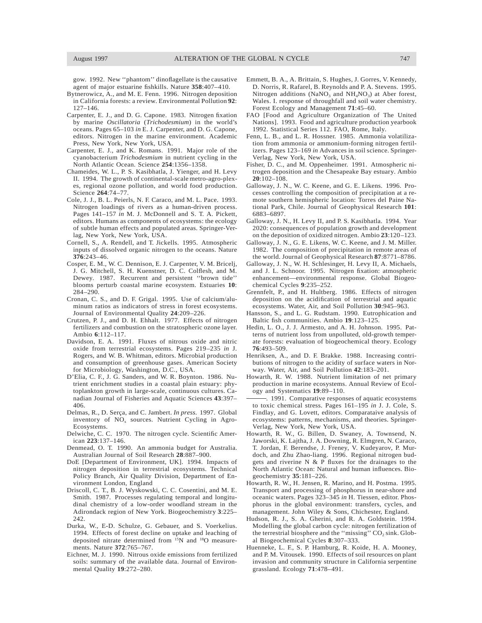gow. 1992. New ''phantom'' dinoflagellate is the causative agent of major estuarine fishkills. Nature **358**:407–410.

- Bytnerowicz, A., and M. E. Fenn. 1996. Nitrogen deposition in California forests: a review. Environmental Pollution **92**: 127–146.
- Carpenter, E. J., and D. G. Capone. 1983. Nitrogen fixation by marine *Oscillatoria* (*Trichodesmium*) in the world's oceans. Pages 65–103 *in* E. J. Carpenter, and D. G. Capone, editors. Nitrogen in the marine environment. Academic Press, New York, New York, USA.
- Carpenter, E. J., and K. Romans. 1991. Major role of the cyanobacterium *Trichodesmium* in nutrient cycling in the North Atlantic Ocean. Science **254**:1356–1358.
- Chameides, W. L., P. S. Kasibhatla, J. Yienger, and H. Levy II. 1994. The growth of continental-scale metro-agro-plexes, regional ozone pollution, and world food production. Science **264**:74–77.
- Cole, J. J., B. L. Peierls, N. F. Caraco, and M. L. Pace. 1993. Nitrogen loadings of rivers as a human-driven process. Pages 141–157 *in* M. J. McDonnell and S. T. A. Pickett, editors. Humans as components of ecosystems: the ecology of subtle human effects and populated areas. Springer-Verlag, New York, New York, USA.
- Cornell, S., A. Rendell, and T. Jickells. 1995. Atmospheric inputs of dissolved organic nitrogen to the oceans. Nature **376**:243–46.
- Cosper, E. M., W. C. Dennison, E. J. Carpenter, V. M. Bricelj, J. G. Mitchell, S. H. Kuenstner, D. C. Colflesh, and M. Dewey. 1987. Recurrent and persistent ''brown tide'' blooms perturb coastal marine ecosystem. Estuaries **10**: 284–290.
- Cronan, C. S., and D. F. Grigal. 1995. Use of calcium/aluminum ratios as indicators of stress in forest ecosystems. Journal of Environmental Quality **24**:209–226.
- Crutzen, P. J., and D. H. Ehhalt. 1977. Effects of nitrogen fertilizers and combustion on the stratospheric ozone layer. Ambio **6**:112–117.
- Davidson, E. A. 1991. Fluxes of nitrous oxide and nitric oxide from terrestrial ecosystems. Pages 219–235 *in* J. Rogers, and W. B. Whitman, editors. Microbial production and consumption of greenhouse gases. American Society for Microbiology, Washington, D.C., USA.
- D'Elia, C. F., J. G. Sanders, and W. R. Boynton. 1986. Nutrient enrichment studies in a coastal plain estuary: phytoplankton growth in large-scale, continuous cultures. Canadian Journal of Fisheries and Aquatic Sciences **43**:397– 406.
- Delmas, R., D. Serça, and C. Jambert. *In press.* 1997. Global inventory of  $NO<sub>x</sub>$  sources. Nutrient Cycling in Agro-Ecosystems.
- Delwiche, C. C. 1970. The nitrogen cycle. Scientific American **223**:137–146.
- Denmead, O. T. 1990. An ammonia budget for Australia. Australian Journal of Soil Research **28**:887–900.
- DoE [Department of Environment, UK]. 1994. Impacts of nitrogen deposition in terrestrial ecosystems. Technical Policy Branch, Air Quality Division, Department of Environment London, England
- Driscoll, C. T., B. J. Wyskowski, C. C. Cosentini, and M. E. Smith. 1987. Processes regulating temporal and longitudinal chemistry of a low-order woodland stream in the Adirondack region of New York. Biogeochemistry **3**:225– 242.
- Durka, W., E-D. Schulze, G. Gebauer, and S. Voerkelius. 1994. Effects of forest decline on uptake and leaching of deposited nitrate determined from 15N and 18O measurements. Nature **372**:765–767.
- Eichner, M. J. 1990. Nitrous oxide emissions from fertilized soils: summary of the available data. Journal of Environmental Quality **19**:272–280.
- Emmett, B. A., A. Brittain, S. Hughes, J. Gorres, V. Kennedy, D. Norris, R. Rafarel, B. Reynolds and P. A. Stevens. 1995. Nitrogen additions (NaNO<sub>3</sub> and  $NH<sub>4</sub>NO<sub>3</sub>$ ) at Aber forest, Wales. I. response of throughfall and soil water chemistry. Forest Ecology and Management **71**:45–60.
- FAO [Food and Agriculture Organization of The United Nations]. 1993. Food and agriculture production yearbook 1992. Statistical Series 112. FAO, Rome, Italy.
- Fenn, L. B., and L. R. Hossner. 1985. Ammonia volatilization from ammonia or ammonium-forming nitrogen fertilizers. Pages 123–169 *in* Advances in soil science. Springer-Verlag, New York, New York, USA.
- Fisher, D. C., and M. Oppenheimer. 1991. Atmospheric nitrogen deposition and the Chesapeake Bay estuary. Ambio **20**:102–108.
- Galloway, J. N., W. C. Keene, and G. E. Likens. 1996. Processes controlling the composition of precipitation at a remote southern hemispheric location: Torres del Paine National Park, Chile. Journal of Geophysical Research **101**: 6883–6897.
- Galloway, J. N., H. Levy II, and P. S. Kasibhatla. 1994. Year 2020: consequences of population growth and development on the deposition of oxidized nitrogen. Ambio **23**:120–123.
- Galloway, J. N., G. E. Likens, W. C. Keene, and J. M. Miller. 1982. The composition of precipitation in remote areas of the world. Journal of Geophysical Research **87**:8771–8786.
- Galloway, J. N., W. H. Schlesinger, H. Levy II, A. Michaels, and J. L. Schnoor. 1995. Nitrogen fixation: atmospheric enhancement—environmental response. Global Biogeochemical Cycles **9**:235–252.
- Grennfelt, P., and H. Hultberg. 1986. Effects of nitrogen deposition on the acidification of terrestrial and aquatic ecosystems. Water, Air, and Soil Pollution **30**:945–963.
- Hansson, S., and L. G. Rudstam. 1990. Eutrophication and Baltic fish communities. Ambio **19**:123–125.
- Hedin, L. O., J. J. Armesto, and A. H. Johnson. 1995. Patterns of nutrient loss from unpolluted, old-growth temperate forests: evaluation of biogeochemical theory. Ecology **76**:493–509.
- Henriksen, A., and D. F. Brakke. 1988. Increasing contributions of nitrogen to the acidity of surface waters in Norway. Water, Air, and Soil Pollution **42**:183–201.
- Howarth, R. W. 1988. Nutrient limitation of net primary production in marine ecosystems. Annual Review of Ecology and Systematics **19**:89–110.
- . 1991. Comparative responses of aquatic ecosystems to toxic chemical stress. Pages 161–195 *in* J. J. Cole, S. Findlay, and G. Lovett, editors. Comparataive analysis of ecosystems: patterns, mechanisms, and theories. Springer-Verlag, New York, New York, USA.
- Howarth, R. W., G. Billen, D. Swaney, A. Townsend, N. Jaworski, K. Lajtha, J. A. Downing, R. Elmgren, N. Caraco, T. Jordan, F. Berendse, J. Freney, V. Kudeyarov, P. Murdoch, and Zhu Zhao-liang. 1996. Regional nitrogen budgets and riverine N & P fluxes for the drainages to the North Atlantic Ocean: Natural and human influences. Biogeochemistry **35**:181–226.
- Howarth, R. W., H. Jensen, R. Marino, and H. Postma. 1995. Transport and processing of phosphorus in near-shore and oceanic waters. Pages 323–345 *in* H. Tiessen, editor. Phosphorus in the global environment: transfers, cycles, and management. John Wiley & Sons, Chichester, England.
- Hudson, R. J., S. A. Gherini, and R. A. Goldstein. 1994. Modelling the global carbon cycle: nitrogen fertilization of the terrestrial biosphere and the "missing"  $CO<sub>2</sub> sink. Glob$ al Biogeochemical Cycles **8**:307–333.
- Huenneke, L. F., S. P. Hamburg, R. Koide, H. A. Mooney, and P. M. Vitousek. 1990. Effects of soil resources on plant invasion and community structure in California serpentine grassland. Ecology **71**:478–491.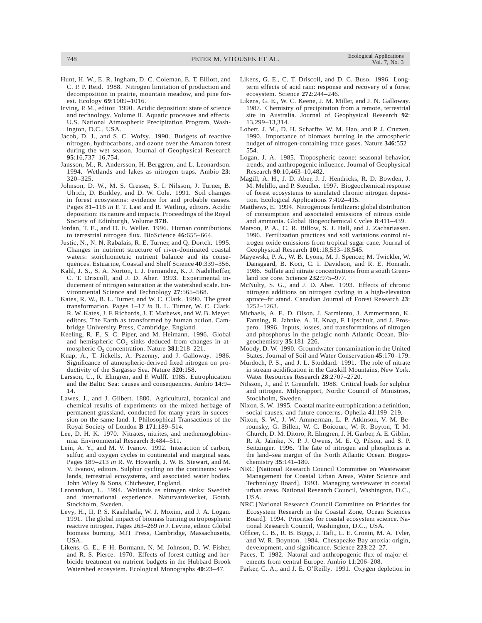- Hunt, H. W., E. R. Ingham, D. C. Coleman, E. T. Elliott, and C. P. P. Reid. 1988. Nitrogen limitation of production and decomposition in prairie, mountain meadow, and pine forest. Ecology **69**:1009–1016.
- Irving, P. M., editor. 1990. Acidic deposition: state of science and technology. Volume II. Aquatic processes and effects. U.S. National Atmospheric Precipitation Program, Washington, D.C., USA.
- Jacob, D. J., and S. C. Wofsy. 1990. Budgets of reactive nitrogen, hydrocarbons, and ozone over the Amazon forest during the wet season. Journal of Geophysical Research **95**:16,737–16,754.
- Jansson, M., R. Andersson, H. Berggren, and L. Leonardson. 1994. Wetlands and lakes as nitrogen traps. Ambio **23**: 320–325.
- Johnson, D. W., M. S. Cresser, S. I. Nilsson, J. Turner, B. Ulrich, D. Binkley, and D. W. Cole. 1991. Soil changes in forest ecosystems: evidence for and probable causes. Pages 81–116 *in* F. T. Last and R. Watling, editors. Acidic deposition: its nature and impacts. Proceedings of the Royal Society of Edinburgh, Volume **97B**.
- Jordan, T. E., and D. E. Weller. 1996. Human contributions to terrestrial nitrogen flux. BioScience **46**:655–664.
- Justic, N., N. N. Rabalais, R. E. Turner, and Q. Dortch. 1995. Changes in nutrient structure of river-dominated coastal waters: stoichiometric nutrient balance and its consequences. Estuarine, Coastal and Shelf Science **40**:339–356.
- Kahl, J. S., S. A. Norton, I. J. Fernandez, K. J. Nadelhoffer, C. T. Driscoll, and J. D. Aber. 1993. Experimental inducement of nitrogen saturation at the watershed scale. Environmental Science and Technology **27**:565–568.
- Kates, R. W., B. L. Turner, and W. C. Clark. 1990. The great transformation. Pages 1–17 *in* B. L. Turner, W. C. Clark, R. W. Kates, J. F. Richards, J. T. Mathews, and W. B. Meyer, editors. The Earth as transformed by human action. Cambridge University Press, Cambridge, England.
- Keeling, R. F., S. C. Piper, and M. Heimann. 1996. Global and hemispheric  $CO<sub>2</sub>$  sinks deduced from changes in atmospheric O<sub>2</sub> concentration. Nature 381:218-221.
- Knap, A., T. Jickells, A. Pszenny, and J. Galloway. 1986. Significance of atmospheric-derived fixed nitrogen on productivity of the Sargasso Sea. Nature **320**:158.
- Larsson, U., R. Elmgren, and F. Wulff. 1985. Eutrophication and the Baltic Sea: causes and consequences. Ambio **14**:9– 14.
- Lawes, J., and J. Gilbert. 1880. Agricultural, botanical and chemical results of experiments on the mixed herbage of permanent grassland, conducted for many years in succession on the same land. I. Philosophical Transactions of the Royal Society of London **B 171**:189–514.
- Lee, D. H. K. 1970. Nitrates, nitrites, and methemoglobinemia. Environmental Research **3**:484–511.
- Lein, A. Y., and M. V. Ivanov. 1992. Interaction of carbon, sulfur, and oxygen cycles in continental and marginal seas. Pages 189–213 *in* R. W. Howarth, J. W. B. Stewart, and M. V. Ivanov, editors. Sulphur cycling on the continents: wetlands, terrestrial ecosystems, and associated water bodies. John Wiley & Sons, Chichester, England.
- Leonardson, L. 1994. Wetlands as nitrogen sinks: Swedish and international experience. Naturvardsverket, Gotab, Stockholm, Sweden.
- Levy, H., II, P. S. Kasibhatla, W. J. Moxim, and J. A. Logan. 1991. The global impact of biomass burning on tropospheric reactive nitrogen. Pages 263–269 *in* J. Levine, editor. Global biomass burning. MIT Press, Cambridge, Massachusetts, USA.
- Likens, G. E., F. H. Bormann, N. M. Johnson, D. W. Fisher, and R. S. Pierce. 1970. Effects of forest cutting and herbicide treatment on nutrient budgets in the Hubbard Brook Watershed ecosystem. Ecological Monographs **40**:23–47.
- Likens, G. E., C. T. Driscoll, and D. C. Buso. 1996. Longterm effects of acid rain: response and recovery of a forest ecosystem. Science **272**:244–246.
- Likens, G. E., W. C. Keene, J. M. Miller, and J. N. Galloway. 1987. Chemistry of precipitation from a remote, terrestrial site in Australia. Journal of Geophysical Research **92**: 13,299–13,314.
- Lobert, J. M., D. H. Scharffe, W. M. Hao, and P. J. Crutzen. 1990. Importance of biomass burning in the atmospheric budget of nitrogen-containing trace gases. Nature **346**:552– 554.
- Logan, J. A. 1985. Tropospheric ozone: seasonal behavior, trends, and anthropogenic influence. Journal of Geophysical Research **90**:10,463–10,482.
- Magill, A. H., J. D. Aber, J. J. Hendricks, R. D. Bowden, J. M. Melillo, and P. Steudler. 1997. Biogeochemical response of forest ecosystems to simulated chronic nitrogen deposition. Ecological Applications **7**:402–415.
- Matthews, E. 1994. Nitrogenous fertilizers: global distribution of consumption and associated emissions of nitrous oxide and ammonia. Global Biogeochemical Cycles **8**:411–439.
- Matson, P. A., C. R. Billow, S. J. Hall, and J. Zachariassen. 1996. Fertilization practices and soil variations control nitrogen oxide emissions from tropical sugar cane. Journal of Geophysical Research **101**:18,533–18,545.
- Mayewski, P. A., W. B. Lyons, M. J. Spencer, M. Twickler, W. Dansgaard, B. Koci, C. I. Davidson, and R. E. Honrath. 1986. Sulfate and nitrate concentrations from a south Greenland ice core. Science **232**:975–977.
- McNulty, S. G., and J. D. Aber. 1993. Effects of chronic nitrogen additions on nitrogen cycling in a high-elevation spruce–fir stand. Canadian Journal of Forest Research **23**: 1252–1263.
- Michaels, A. F., D. Olson, J. Sarmiento, J. Ammermann, K. Fanning, R. Jahnke, A. H. Knap, F. Lipschult, and J. Prospero. 1996. Inputs, losses, and transformations of nitrogen and phosphorus in the pelagic north Atlantic Ocean. Biogeochemistry **35**:181–226.
- Moody, D. W. 1990. Groundwater contamination in the United States. Journal of Soil and Water Conservation **45**:170–179.
- Murdoch, P. S., and J. L. Stoddard. 1991. The role of nitrate in stream acidification in the Catskill Mountains, New York. Water Resources Research **28**:2707–2720.
- Nilsson, J., and P. Grennfelt. 1988. Critical loads for sulphur and nitrogen. Miljorapport, Nordic Council of Ministries, Stockholm, Sweden.
- Nixon, S. W. 1995. Coastal marine eutrophication: a definition, social causes, and future concerns. Ophelia **41**:199–219.
- Nixon, S. W., J. W. Ammerman, L. P. Atkinson, V. M. Berounsky, G. Billen, W. C. Boicourt, W. R. Boyton, T. M. Church, D. M. Ditoro, R. Elmgren, J. H. Garber, A. E. Giblin, R. A. Jahnke, N. P. J. Owens, M. E. Q. Pilson, and S. P. Seitzinger. 1996. The fate of nitrogen and phosphorus at the land–sea margin of the North Atlantic Ocean. Biogeochemistry **35**:141–180.
- NRC [National Research Council Committee on Wastewater Management for Coastal Urban Areas, Water Science and Technology Board]. 1993. Managing wastewater in coastal urban areas. National Research Council, Washington, D.C., USA.
- NRC [National Research Council Committee on Priorities for Ecosystem Research in the Coastal Zone, Ocean Sciences Board]. 1994. Priorities for coastal ecosystem science. National Research Council, Washington, D.C., USA.
- Officer, C. B., R. B. Biggs, J. Taft., L. E. Cronin, M. A. Tyler, and W. R. Boynton. 1984. Chesapeake Bay anoxia: origin, development, and significance. Science **223**:22–27.
- Paces, T. 1982. Natural and anthropogenic flux of major elements from central Europe. Ambio **11**:206–208.
- Parker, C. A., and J. E. O'Reilly. 1991. Oxygen depletion in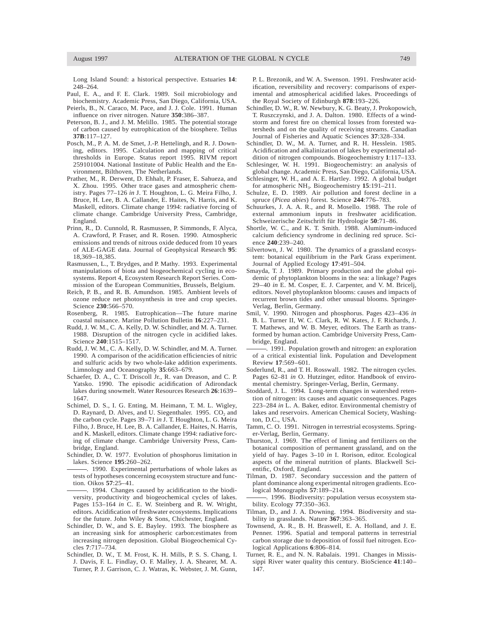Long Island Sound: a historical perspective. Estuaries **14**: 248–264.

- Paul, E. A., and F. E. Clark. 1989. Soil microbiology and biochemistry. Academic Press, San Diego, California, USA.
- Peierls, B., N. Caraco, M. Pace, and J. J. Cole. 1991. Human influence on river nitrogen. Nature **350**:386–387.
- Peterson, B. J., and J. M. Melillo. 1985. The potential storage of carbon caused by eutrophication of the biosphere. Tellus **37B**:117–127.
- Posch, M., P. A. M. de Smet, J.-P. Hettelingh, and R. J. Downing, editors. 1995. Calculation and mapping of critical thresholds in Europe. Status report 1995. RIVM report 259101004. National Institute of Public Health and the Environment, Bilthoven, The Netherlands.
- Prather, M., R. Derwent, D. Ehhalt, P. Fraser, E. Sahueza, and X. Zhou. 1995. Other trace gases and atmospheric chemistry. Pages 77–126 *in* J. T. Houghton, L. G. Meira Filho, J. Bruce, H. Lee, B. A. Callander, E. Haites, N. Harris, and K. Maskell, editors. Climate change 1994: radiative forcing of climate change. Cambridge University Press, Cambridge, England.
- Prinn, R., D. Cunnold, R. Rasmussen, P. Simmonds, F. Alyca, A. Crawford, P. Fraser, and R. Rosen. 1990. Atmospheric emissions and trends of nitrous oxide deduced from 10 years of ALE-GAGE data. Journal of Geophysical Research **95**: 18,369–18,385.
- Rasmussen, L., T. Brydges, and P. Mathy. 1993. Experimental manipulations of biota and biogeochemical cycling in ecosystems. Report 4, Ecosystem Research Report Series. Commission of the European Communities, Brussels, Belgium.
- Reich, P. B., and R. B. Amundson. 1985. Ambient levels of ozone reduce net photosynthesis in tree and crop species. Science **230**:566–570.
- Rosenberg, R. 1985. Eutrophication—The future marine coastal nuisance. Marine Pollution Bulletin **16**:227–231.
- Rudd, J. W. M., C. A. Kelly, D. W. Schindler, and M. A. Turner. 1988. Disruption of the nitrogen cycle in acidified lakes. Science **240**:1515–1517.
- Rudd, J. W. M., C. A. Kelly, D. W. Schindler, and M. A. Turner. 1990. A comparison of the acidification efficiencies of nitric and sulfuric acids by two whole-lake addition experiments. Limnology and Oceanography **35**:663–679.
- Schaefer, D. A., C. T. Driscoll Jr., R. van Dreason, and C. P. Yatsko. 1990. The episodic acidification of Adirondack lakes during snowmelt. Water Resources Research **26**:1639– 1647.
- Schimel, D. S., I. G. Enting, M. Heimann, T. M. L. Wigley, D. Raynard, D. Alves, and U. Siegenthaler. 1995.  $CO<sub>2</sub>$  and the carbon cycle. Pages 39–71 *in* J. T. Houghton, L. G. Meira Filho, J. Bruce, H. Lee, B. A. Callander, E. Haites, N. Harris, and K. Maskell, editors. Climate change 1994: radiative forcing of climate change. Cambridge University Press, Cambridge, England.
- Schindler, D. W. 1977. Evolution of phosphorus limitation in lakes. Science **195**:260–262.
- . 1990. Experimental perturbations of whole lakes as tests of hypotheses concerning ecosystem structure and function. Oikos **57**:25–41.
- . 1994. Changes caused by acidification to the biodiversity, productivity and biogeochemical cycles of lakes. Pages 153–164 *in* C. E. W. Steinberg and R. W. Wright, editors. Acidification of freshwater ecosystems. Implications for the future. John Wiley & Sons, Chichester, England.
- Schindler, D. W., and S. E. Bayley. 1993. The biosphere as an increasing sink for atmospheric carbon:estimates from increasing nitrogen deposition. Global Biogeochemical Cycles **7**:717–734.
- Schindler, D. W., T. M. Frost, K. H. Mills, P. S. S. Chang, I. J. Davis, F. L. Findlay, O. F. Malley, J. A. Shearer, M. A. Turner, P. J. Garrison, C. J. Watras, K. Webster, J. M. Gunn,

P. L. Brezonik, and W. A. Swenson. 1991. Freshwater acidification, reversibility and recovery: comparisons of experimental and atmospherical acidified lakes. Proceedings of the Royal Society of Edinburgh **878**:193–226.

- Schindler, D. W., R. W. Newbury, K. G. Beaty, J. Prokopowich, T. Ruszczynski, and J. A. Dalton. 1980. Effects of a windstorm and forest fire on chemical losses from forested watersheds and on the quality of receiving streams. Canadian Journal of Fisheries and Aquatic Sciences **37**:328–334.
- Schindler, D. W., M. A. Turner, and R. H. Hesslein. 1985. Acidification and alkalinization of lakes by experimental addition of nitrogen compounds. Biogeochemistry **1**:117–133.
- Schlesinger, W. H. 1991. Biogeochemistry: an analysis of global change. Academic Press, San Diego, California, USA.
- Schlesinger, W. H., and A. E. Hartley. 1992. A global budget for atmospheric NH3. Biogeochemistry **15**:191–211.
- Schulze, E. D. 1989. Air pollution and forest decline in a spruce (*Picea abies*) forest. Science **244**:776–783.
- Schuurkes, J. A. A. R., and R. Mosello. 1988. The role of external ammonium inputs in freshwater acidification. Schweizerische Zeitschrift fu¨r Hydrologie **50**:71–86.
- Shortle, W. C., and K. T. Smith. 1988. Aluminum-induced calcium deficiency syndrome in declining red spruce. Science **240**:239–240.
- Silvertown, J. W. 1980. The dynamics of a grassland ecosystem: botanical equilibrium in the Park Grass experiment. Journal of Applied Ecology **17**:491–504.
- Smayda, T. J. 1989. Primary production and the global epidemic of phytoplankton blooms in the sea: a linkage? Pages 29–40 *in* E. M. Cosper, E. J. Carpenter, and V. M. Bricelj, editors. Novel phytoplankton blooms: causes and impacts of recurrent brown tides and other unusual blooms. Springer-Verlag, Berlin, Germany.
- Smil, V. 1990. Nitrogen and phosphorus. Pages 423–436 *in* B. L. Turner II, W. C. Clark, R. W. Kates, J. F. Richards, J. T. Mathews, and W. B. Meyer, editors. The Earth as transformed by human action. Cambridge University Press, Cambridge, England.
- . 1991. Population growth and nitrogen: an exploration of a critical existential link. Population and Development Review **17**:569–601.
- Soderlund, R., and T. H. Rosswall. 1982. The nitrogen cycles. Pages 62–81 *in* O. Hutzinger, editor. Handbook of enviromental chemistry. Springer-Verlag, Berlin, Germany.
- Stoddard, J. L. 1994. Long-term changes in watershed retention of nitrogen: its causes and aquatic consequences. Pages 223–284 *in* L. A. Baker, editor. Environmental chemistry of lakes and reservoirs. American Chemical Society, Washington, D.C., USA.
- Tamm, C. O. 1991. Nitrogen in terrestrial ecosystems. Springer-Verlag, Berlin, Germany.
- Thurston, J. 1969. The effect of liming and fertilizers on the botanical composition of permanent grassland, and on the yield of hay. Pages 3–10 *in* I. Rorison, editor. Ecological aspects of the mineral nutrition of plants. Blackwell Scientific, Oxford, England.
- Tilman, D. 1987. Secondary succession and the pattern of plant dominance along experimental nitrogen gradients. Ecological Monographs **57**:189–214.
- . 1996. Biodiversity: population versus ecosystem stability. Ecology **77**:350–363.
- Tilman, D., and J. A. Downing. 1994. Biodiversity and stability in grasslands. Nature **367**:363–365.
- Townsend, A. R., B. H. Braswell, E. A. Holland, and J. E. Penner. 1996. Spatial and temporal patterns in terrestrial carbon storage due to deposition of fossil fuel nitrogen. Ecological Applications **6**:806–814.
- Turner, R. E., and N. N. Rabalais. 1991. Changes in Mississippi River water quality this century. BioScience **41**:140– 147.